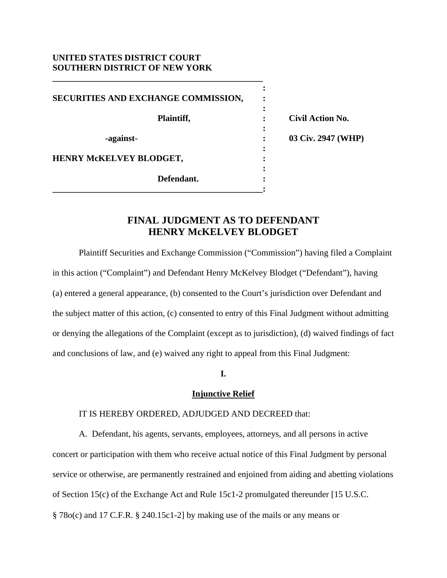## **UNITED STATES DISTRICT COURT SOUTHERN DISTRICT OF NEW YORK**

**\_\_\_\_\_\_\_\_\_\_\_\_\_\_\_\_\_\_\_\_\_\_\_\_\_\_\_\_\_\_\_\_\_\_\_\_\_\_\_\_\_\_\_\_\_\_\_\_** 

*x*  $\mathbf{r}$  :  $\mathbf{r}$   $\mathbf{r}$   $\mathbf{r}$   $\mathbf{r}$   $\mathbf{r}$   $\mathbf{r}$   $\mathbf{r}$   $\mathbf{r}$   $\mathbf{r}$   $\mathbf{r}$   $\mathbf{r}$   $\mathbf{r}$   $\mathbf{r}$   $\mathbf{r}$   $\mathbf{r}$   $\mathbf{r}$   $\mathbf{r}$   $\mathbf{r}$   $\mathbf{r}$   $\mathbf{r}$   $\mathbf{r}$   $\mathbf{r}$   $\mathbf{r}$ **SECURITIES AND EXCHANGE COMMISSION, :**  *x*  $\mathbf{r}$  :  $\mathbf{r}$   $\mathbf{r}$   $\mathbf{r}$   $\mathbf{r}$   $\mathbf{r}$   $\mathbf{r}$   $\mathbf{r}$   $\mathbf{r}$   $\mathbf{r}$   $\mathbf{r}$   $\mathbf{r}$   $\mathbf{r}$   $\mathbf{r}$   $\mathbf{r}$   $\mathbf{r}$   $\mathbf{r}$   $\mathbf{r}$   $\mathbf{r}$   $\mathbf{r}$   $\mathbf{r}$   $\mathbf{r}$   $\mathbf{r}$   $\mathbf{r}$  **Plaintiff, : Civil Action No.**  *x*  $\mathbf{r}$  :  $\mathbf{r}$   $\mathbf{r}$   $\mathbf{r}$   $\mathbf{r}$   $\mathbf{r}$   $\mathbf{r}$   $\mathbf{r}$   $\mathbf{r}$   $\mathbf{r}$   $\mathbf{r}$   $\mathbf{r}$   $\mathbf{r}$   $\mathbf{r}$   $\mathbf{r}$   $\mathbf{r}$   $\mathbf{r}$   $\mathbf{r}$   $\mathbf{r}$   $\mathbf{r}$   $\mathbf{r}$   $\mathbf{r}$   $\mathbf{r}$   $\mathbf{r}$  **-against- : 03 Civ. 2947 (WHP)**  *x*  $\mathbf{r}$  :  $\mathbf{r}$   $\mathbf{r}$   $\mathbf{r}$   $\mathbf{r}$   $\mathbf{r}$   $\mathbf{r}$   $\mathbf{r}$   $\mathbf{r}$   $\mathbf{r}$   $\mathbf{r}$   $\mathbf{r}$   $\mathbf{r}$   $\mathbf{r}$   $\mathbf{r}$   $\mathbf{r}$   $\mathbf{r}$   $\mathbf{r}$   $\mathbf{r}$   $\mathbf{r}$   $\mathbf{r}$   $\mathbf{r}$   $\mathbf{r}$   $\mathbf{r}$ **HENRY McKELVEY BLODGET,**  $\qquad$  **:** *x*  $\mathbf{r}$  :  $\mathbf{r}$  is the set of  $\mathbf{r}$  is the set of  $\mathbf{r}$  is the set of  $\mathbf{r}$  is the set of  $\mathbf{r}$  **Defendant. : \_\_\_\_\_\_\_\_\_\_\_\_\_\_\_\_\_\_\_\_\_\_\_\_\_\_\_\_\_\_\_\_\_\_\_\_\_\_\_\_\_\_\_\_\_\_\_\_:**

# **FINAL JUDGMENT AS TO DEFENDANT HENRY McKELVEY BLODGET**

 Plaintiff Securities and Exchange Commission ("Commission") having filed a Complaint in this action ("Complaint") and Defendant Henry McKelvey Blodget ("Defendant"), having (a) entered a general appearance, (b) consented to the Court's jurisdiction over Defendant and the subject matter of this action, (c) consented to entry of this Final Judgment without admitting or denying the allegations of the Complaint (except as to jurisdiction), (d) waived findings of fact and conclusions of law, and (e) waived any right to appeal from this Final Judgment:

**I.** 

## **Injunctive Relief**

## IT IS HEREBY ORDERED, ADJUDGED AND DECREED that:

A. Defendant, his agents, servants, employees, attorneys, and all persons in active concert or participation with them who receive actual notice of this Final Judgment by personal service or otherwise, are permanently restrained and enjoined from aiding and abetting violations of Section 15(c) of the Exchange Act and Rule 15c1-2 promulgated thereunder [15 U.S.C. § 78o(c) and 17 C.F.R. § 240.15c1-2] by making use of the mails or any means or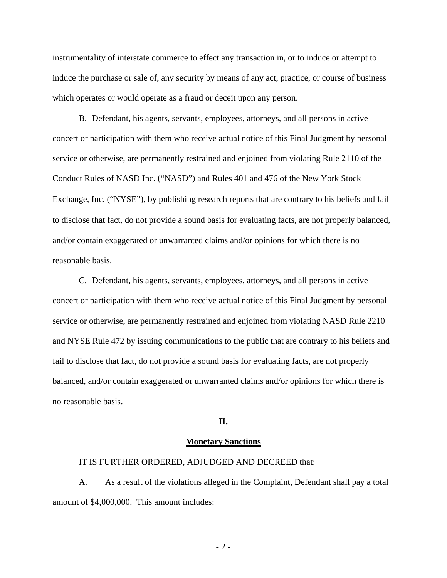instrumentality of interstate commerce to effect any transaction in, or to induce or attempt to induce the purchase or sale of, any security by means of any act, practice, or course of business which operates or would operate as a fraud or deceit upon any person.

B. Defendant, his agents, servants, employees, attorneys, and all persons in active concert or participation with them who receive actual notice of this Final Judgment by personal service or otherwise, are permanently restrained and enjoined from violating Rule 2110 of the Conduct Rules of NASD Inc. ("NASD") and Rules 401 and 476 of the New York Stock Exchange, Inc. ("NYSE"), by publishing research reports that are contrary to his beliefs and fail to disclose that fact, do not provide a sound basis for evaluating facts, are not properly balanced, and/or contain exaggerated or unwarranted claims and/or opinions for which there is no reasonable basis.

C. Defendant, his agents, servants, employees, attorneys, and all persons in active concert or participation with them who receive actual notice of this Final Judgment by personal service or otherwise, are permanently restrained and enjoined from violating NASD Rule 2210 and NYSE Rule 472 by issuing communications to the public that are contrary to his beliefs and fail to disclose that fact, do not provide a sound basis for evaluating facts, are not properly balanced, and/or contain exaggerated or unwarranted claims and/or opinions for which there is no reasonable basis.

## **II.**

### **Monetary Sanctions**

## IT IS FURTHER ORDERED, ADJUDGED AND DECREED that:

A. As a result of the violations alleged in the Complaint, Defendant shall pay a total amount of \$4,000,000. This amount includes:

- 2 -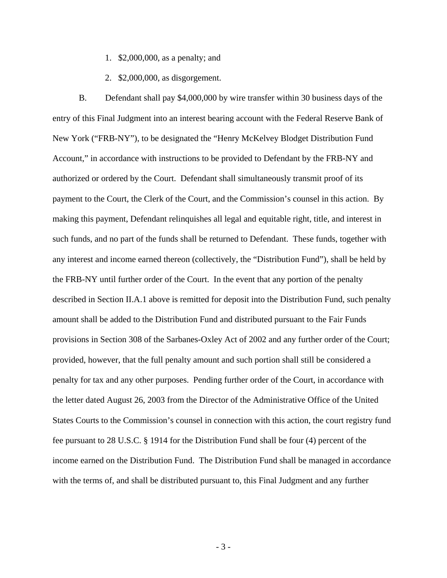- 1. \$2,000,000, as a penalty; and
- 2. \$2,000,000, as disgorgement.

B. Defendant shall pay \$4,000,000 by wire transfer within 30 business days of the entry of this Final Judgment into an interest bearing account with the Federal Reserve Bank of New York ("FRB-NY"), to be designated the "Henry McKelvey Blodget Distribution Fund Account," in accordance with instructions to be provided to Defendant by the FRB-NY and authorized or ordered by the Court. Defendant shall simultaneously transmit proof of its payment to the Court, the Clerk of the Court, and the Commission's counsel in this action. By making this payment, Defendant relinquishes all legal and equitable right, title, and interest in such funds, and no part of the funds shall be returned to Defendant. These funds, together with any interest and income earned thereon (collectively, the "Distribution Fund"), shall be held by the FRB-NY until further order of the Court. In the event that any portion of the penalty described in Section II.A.1 above is remitted for deposit into the Distribution Fund, such penalty amount shall be added to the Distribution Fund and distributed pursuant to the Fair Funds provisions in Section 308 of the Sarbanes-Oxley Act of 2002 and any further order of the Court; provided, however, that the full penalty amount and such portion shall still be considered a penalty for tax and any other purposes. Pending further order of the Court, in accordance with the letter dated August 26, 2003 from the Director of the Administrative Office of the United States Courts to the Commission's counsel in connection with this action, the court registry fund fee pursuant to 28 U.S.C. § 1914 for the Distribution Fund shall be four (4) percent of the income earned on the Distribution Fund. The Distribution Fund shall be managed in accordance with the terms of, and shall be distributed pursuant to, this Final Judgment and any further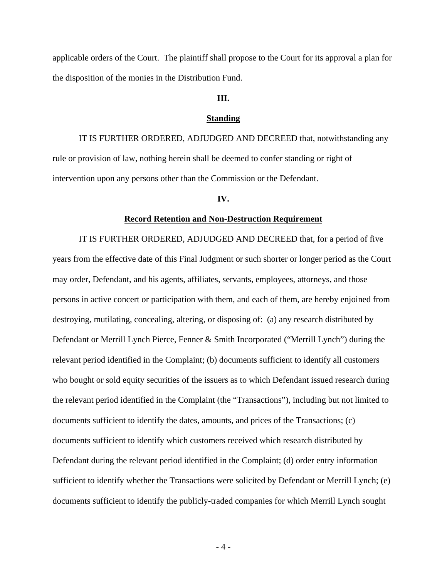applicable orders of the Court. The plaintiff shall propose to the Court for its approval a plan for the disposition of the monies in the Distribution Fund.

## **III.**

#### **Standing**

IT IS FURTHER ORDERED, ADJUDGED AND DECREED that, notwithstanding any rule or provision of law, nothing herein shall be deemed to confer standing or right of intervention upon any persons other than the Commission or the Defendant.

#### **IV.**

#### **Record Retention and Non-Destruction Requirement**

IT IS FURTHER ORDERED, ADJUDGED AND DECREED that, for a period of five years from the effective date of this Final Judgment or such shorter or longer period as the Court may order, Defendant, and his agents, affiliates, servants, employees, attorneys, and those persons in active concert or participation with them, and each of them, are hereby enjoined from destroying, mutilating, concealing, altering, or disposing of: (a) any research distributed by Defendant or Merrill Lynch Pierce, Fenner & Smith Incorporated ("Merrill Lynch") during the relevant period identified in the Complaint; (b) documents sufficient to identify all customers who bought or sold equity securities of the issuers as to which Defendant issued research during the relevant period identified in the Complaint (the "Transactions"), including but not limited to documents sufficient to identify the dates, amounts, and prices of the Transactions; (c) documents sufficient to identify which customers received which research distributed by Defendant during the relevant period identified in the Complaint; (d) order entry information sufficient to identify whether the Transactions were solicited by Defendant or Merrill Lynch; (e) documents sufficient to identify the publicly-traded companies for which Merrill Lynch sought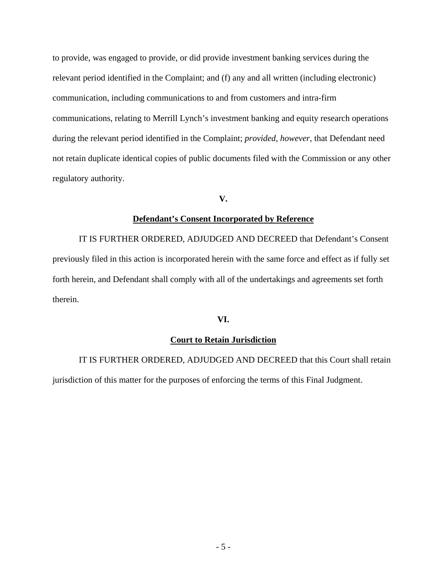to provide, was engaged to provide, or did provide investment banking services during the relevant period identified in the Complaint; and (f) any and all written (including electronic) communication, including communications to and from customers and intra-firm communications, relating to Merrill Lynch's investment banking and equity research operations during the relevant period identified in the Complaint; *provided*, *however*, that Defendant need not retain duplicate identical copies of public documents filed with the Commission or any other regulatory authority.

**V.** 

### **Defendant's Consent Incorporated by Reference**

IT IS FURTHER ORDERED, ADJUDGED AND DECREED that Defendant's Consent previously filed in this action is incorporated herein with the same force and effect as if fully set forth herein, and Defendant shall comply with all of the undertakings and agreements set forth therein.

## **VI.**

### **Court to Retain Jurisdiction**

IT IS FURTHER ORDERED, ADJUDGED AND DECREED that this Court shall retain jurisdiction of this matter for the purposes of enforcing the terms of this Final Judgment.